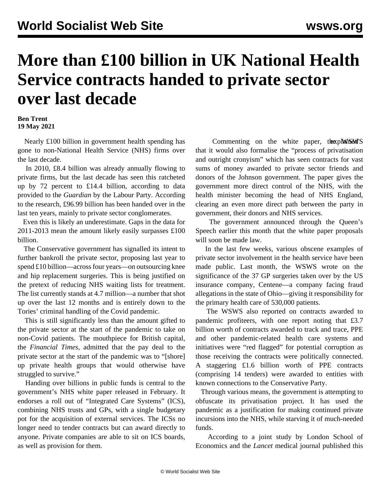## **More than £100 billion in UK National Health Service contracts handed to private sector over last decade**

## **Ben Trent 19 May 2021**

 Nearly £100 billion in government health spending has gone to non-National Health Service (NHS) firms over the last decade.

 In 2010, £8.4 billion was already annually flowing to private firms, but the last decade has seen this ratcheted up by 72 percent to £14.4 billion, according to data provided to the *Guardian* by the Labour Party. According to the research, £96.99 billion has been handed over in the last ten years, mainly to private sector conglomerates.

 Even this is likely an underestimate. Gaps in the data for 2011-2013 mean the amount likely easily surpasses £100 billion.

 The Conservative government has signalled its intent to further bankroll the private sector, proposing last year to spend £10 billion—across four years—on outsourcing knee and hip replacement surgeries. This is being justified on the pretext of reducing NHS waiting lists for treatment. The list currently stands at 4.7 million—a number that shot up over the last 12 months and is entirely down to the Tories' criminal handling of the Covid pandemic.

 This is still significantly less than the amount gifted to the private sector at the start of the pandemic to take on non-Covid patients. The mouthpiece for British capital, the *Financial Times*, admitted that the pay deal to the private sector at the start of the pandemic was to "[shore] up private health groups that would otherwise have struggled to survive."

 Handing over billions in public funds is central to the government's NHS white paper released in February. It endorses a roll out of "Integrated Care Systems" (ICS), combining NHS trusts and GPs, with a single budgetary pot for the acquisition of external services. The ICSs no longer need to tender contracts but can award directly to anyone. Private companies are able to sit on ICS boards, as well as provision for them.

Commenting on the white paper, the apMinGeNTS that it would also formalise the "process of privatisation and outright cronyism" which has seen contracts for vast sums of money awarded to private sector friends and donors of the Johnson government. The paper gives the government more direct control of the NHS, with the health minister becoming the head of NHS England, clearing an even more direct path between the party in government, their donors and NHS services.

 The government announced through the [Queen's](/en/articles/2021/05/12/quee-j01.html) [Speech](/en/articles/2021/05/12/quee-j01.html) earlier this month that the white paper proposals will soon be made law.

 In the last few weeks, various obscene examples of private sector involvement in the health service have been made public. Last month, the WSWS wrote on the significance of the 37 GP surgeries taken over by the US insurance company, Centene—a company facing fraud allegations in the state of Ohio—giving it responsibility for the primary health care of 530,000 patients.

 The WSWS also reported on contracts awarded to pandemic profiteers, with one report noting that £3.7 billion worth of contracts awarded to track and trace, PPE and other pandemic-related health care systems and initiatives were "red flagged" for potential corruption as those receiving the contracts were politically connected. A staggering £1.6 billion worth of PPE contracts (comprising 14 tenders) were awarded to entities with known connections to the Conservative Party.

 Through various means, the government is attempting to obfuscate its privatisation project. It has used the pandemic as a justification for making continued private incursions into the NHS, while starving it of much-needed funds.

 According to a joint study by London School of Economics and the *Lancet* medical journal published this